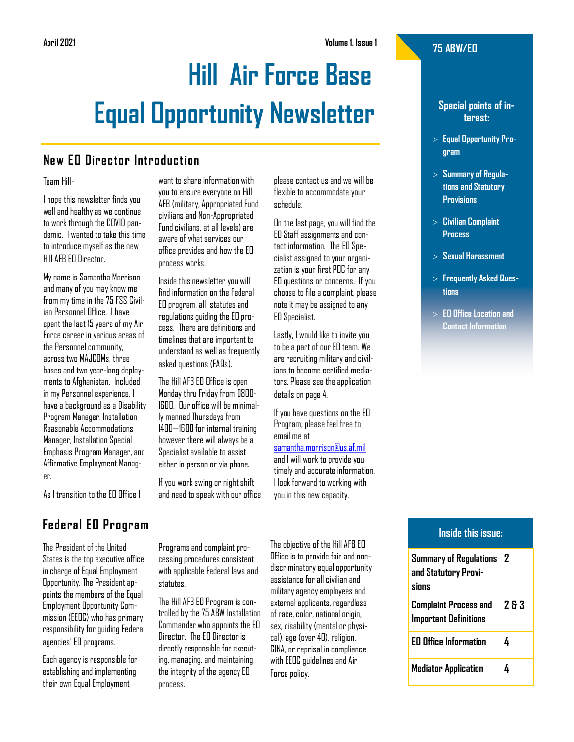# **April 2021 Volume 1, Issue 1**

# **Hill Air Force Base Equal Opportunity Newsletter**

# **New EO Director Introduction**

#### Team Hill-

I hope this newsletter finds you well and healthy as we continue to work through the COVID pandemic. I wanted to take this time to introduce myself as the new Hill AFB EO Director.

My name is Samantha Morrison and many of you may know me from my time in the 75 FSS Civilian Personnel Office. I have spent the last 15 years of my Air Force career in various areas of the Personnel community, across two MAJCOMs, three bases and two year-long deployments to Afghanistan. Included in my Personnel experience, I have a background as a Disability Program Manager, Installation Reasonable Accommodations Manager, Installation Special Emphasis Program Manager, and Affirmative Employment Manager.

As I transition to the EO Office I

# **Federal EO Program**

The President of the United States is the top executive office in charge of Equal Employment Opportunity. The President appoints the members of the Equal Employment Opportunity Commission (EEOC) who has primary responsibility for guiding Federal agencies' EO programs.

Each agency is responsible for establishing and implementing their own Equal Employment

want to share information with you to ensure everyone on Hill AFB (military, Appropriated Fund civilians and Non-Appropriated Fund civilians, at all levels) are aware of what services our office provides and how the EO process works.

Inside this newsletter you will find information on the Federal EO program, all statutes and regulations guiding the EO process. There are definitions and timelines that are important to understand as well as frequently asked questions (FAQs).

The Hill AFB EO Office is open Monday thru Friday from 0800- 1600. Our office will be minimally manned Thursdays from 1400—1600 for internal training however there will always be a Specialist available to assist either in person or via phone.

If you work swing or night shift and need to speak with our office please contact us and we will be flexible to accommodate your schedule.

On the last page, you will find the EO Staff assignments and contact information. The EO Specialist assigned to your organization is your first POC for any EO questions or concerns. If you choose to file a complaint, please note it may be assigned to any EO Specialist.

Lastly, I would like to invite you to be a part of our EO team. We are recruiting military and civilians to become certified mediators. Please see the application details on page 4.

If you have questions on the EO Program, please feel free to email me at

[samantha.morrison@us.af.mil](mailto:samantha.morrison@us.af.mil?subject=EO%20Newsletter%20Follow-up)

and I will work to provide you timely and accurate information. I look forward to working with you in this new capacity.

Programs and complaint processing procedures consistent with applicable Federal laws and The Hill AFB EO Program is con-

trolled by the 75 ABW Installation Commander who appoints the EO Director. The EO Director is directly responsible for executing, managing, and maintaining the integrity of the agency EO process.

statutes.

The objective of the Hill AFB EO Office is to provide fair and nondiscriminatory equal opportunity assistance for all civilian and military agency employees and external applicants, regardless of race, color, national origin, sex, disability (mental or physical), age (over 40), religion, GINA, or reprisal in compliance with EEOC guidelines and Air Force policy.

# **75 ABW/EO**

# **Special points of interest:**

- **Equal Opportunity Program**
- **Summary of Regulations and Statutory Provisions**
- **Civilian Complaint Process**
- **Sexual Harassment**
- **Frequently Asked Questions**
- **EO Office Location and Contact Information**

# **Inside this issue:**

| <b>Summary of Regulations</b> 2<br>and Statutory Provi-<br>sinns |     |
|------------------------------------------------------------------|-----|
| Complaint Process and<br><b>Important Definitions</b>            | 783 |
| <b>EO Office Information</b>                                     | 4   |
| <b>Mediator Application</b>                                      | 4   |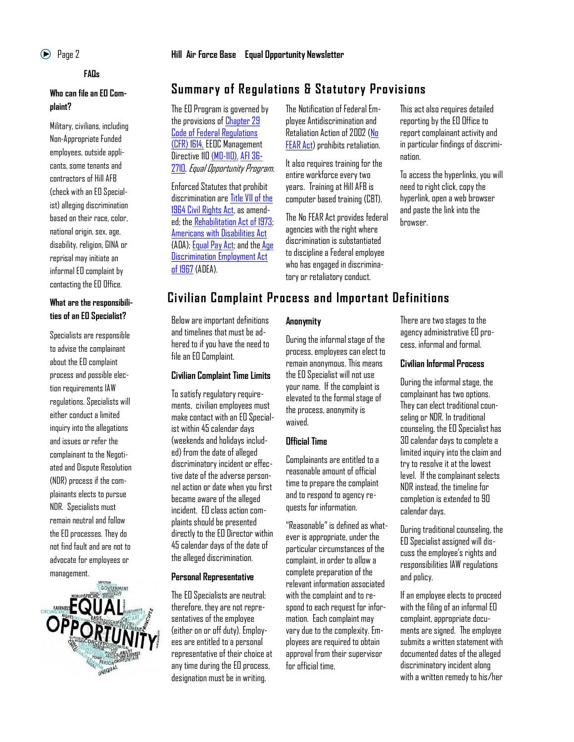# **FAQs**

# **Who can file an EO Complaint?**

Military, civilians, including Non-Appropriate Funded employees, outside applicants, some tenants and contractors of Hill AFB (check with an EO Specialist) alleging discrimination based on their race, color, national origin, sex, age, disability, religion, GINA or reprisal may initiate an informal EO complaint by contacting the EO Office.

# **What are the responsibilities of an EO Specialist?**

Specialists are responsible to advise the complainant about the EO complaint process and possible election requirements IAW regulations. Specialists will either conduct a limited inquiry into the allegations and issues or refer the complainant to the Negotiated and Dispute Resolution (NDR) process if the complainants elects to pursue NDR. Specialists must remain neutral and follow the EO processes. They do not find fault and are not to advocate for employees or management.



# Page 2 **Hill Air Force Base Equal Opportunity Newsletter**

# **Summary of Regulations & Statutory Provisions**

The EO Program is governed by the provisions of [Chapter 29](https://www.ecfr.gov/cgi-bin/text-idx?tpl=/ecfrbrowse/Title29/29cfr1614_main_02.tpl)  [Code of Federal Regulations](https://www.ecfr.gov/cgi-bin/text-idx?tpl=/ecfrbrowse/Title29/29cfr1614_main_02.tpl)  [\(CFR\) 1614,](https://www.ecfr.gov/cgi-bin/text-idx?tpl=/ecfrbrowse/Title29/29cfr1614_main_02.tpl) EEOC Management Directive 110 [\(MD-110\),](https://www.eeoc.gov/federal-sector/management-directive/management-directive-110) [AFI 36-](https://static.e-publishing.af.mil/production/1/af_a1/publication/afi36-2710/afi36-2710.pdf) [2710,](https://static.e-publishing.af.mil/production/1/af_a1/publication/afi36-2710/afi36-2710.pdf) Equal Opportunity Program.

Enforced Statutes that prohibit discrimination are [Title VII of the](https://www.eeoc.gov/statutes/title-vii-civil-rights-act-1964)  [1964 Civil Rights Act,](https://www.eeoc.gov/statutes/title-vii-civil-rights-act-1964) as amended; the [Rehabilitation Act of 1973;](https://www.eeoc.gov/statutes/rehabilitation-act-1973) [Americans with Disabilities Act](https://www.ada.gov/) (ADA); [Equal Pay Act;](https://www.eeoc.gov/statutes/equal-pay-act-1963) and the [Age](https://www.eeoc.gov/statutes/age-discrimination-employment-act-1967)  [Discrimination Employment Act](https://www.eeoc.gov/statutes/age-discrimination-employment-act-1967)  [of 1967](https://www.eeoc.gov/statutes/age-discrimination-employment-act-1967) (ADEA).

The Notification of Federal Employee Antidiscrimination and Retaliation Action of 2002 [\(No](https://www.opm.gov/equal-employment-opportunity/no-fear-act/)  [FEAR Act\)](https://www.opm.gov/equal-employment-opportunity/no-fear-act/) prohibits retaliation.

It also requires training for the entire workforce every two years. Training at Hill AFB is computer based training (CBT).

The No FEAR Act provides federal agencies with the right where discrimination is substantiated to discipline a Federal employee who has engaged in discriminatory or retaliatory conduct.

This act also requires detailed reporting by the EO Office to report complainant activity and in particular findings of discrimination.

To access the hyperlinks, you will need to right click, copy the hyperlink, open a web browser and paste the link into the browser.

# **Civilian Complaint Process and Important Definitions**

Below are important definitions and timelines that must be adhered to if you have the need to file an EO Complaint.

#### **Civilian Complaint Time Limits**

To satisfy regulatory requirements, civilian employees must make contact with an EO Specialist within 45 calendar days (weekends and holidays included) from the date of alleged discriminatory incident or effective date of the adverse personnel action or date when you first became aware of the alleged incident. EO class action complaints should be presented directly to the EO Director within 45 calendar days of the date of the alleged discrimination.

#### **Personal Representative**

The EO Specialists are neutral; therefore, they are not representatives of the employee (either on or off duty). Employees are entitled to a personal representative of their choice at any time during the EO process, designation must be in writing.

# **Anonymity**

During the informal stage of the process, employees can elect to remain anonymous. This means the EO Specialist will not use your name. If the complaint is elevated to the formal stage of the process, anonymity is waived.

# **Official Time**

Complainants are entitled to a reasonable amount of official time to prepare the complaint and to respond to agency requests for information.

"Reasonable" is defined as whatever is appropriate, under the particular circumstances of the complaint, in order to allow a complete preparation of the relevant information associated with the complaint and to respond to each request for information. Each complaint may vary due to the complexity. Employees are required to obtain approval from their supervisor for official time.

There are two stages to the agency administrative EO process, informal and formal.

#### **Civilian Informal Process**

During the informal stage, the complainant has two options. They can elect traditional counseling or NDR. In traditional counseling, the EO Specialist has 30 calendar days to complete a limited inquiry into the claim and try to resolve it at the lowest level. If the complainant selects NDR instead, the timeline for completion is extended to 90 calendar days.

During traditional counseling, the EO Specialist assigned will discuss the employee's rights and responsibilities IAW regulations and policy.

If an employee elects to proceed with the filing of an informal EO complaint, appropriate documents are signed. The employee submits a written statement with documented dates of the alleged discriminatory incident along with a written remedy to his/her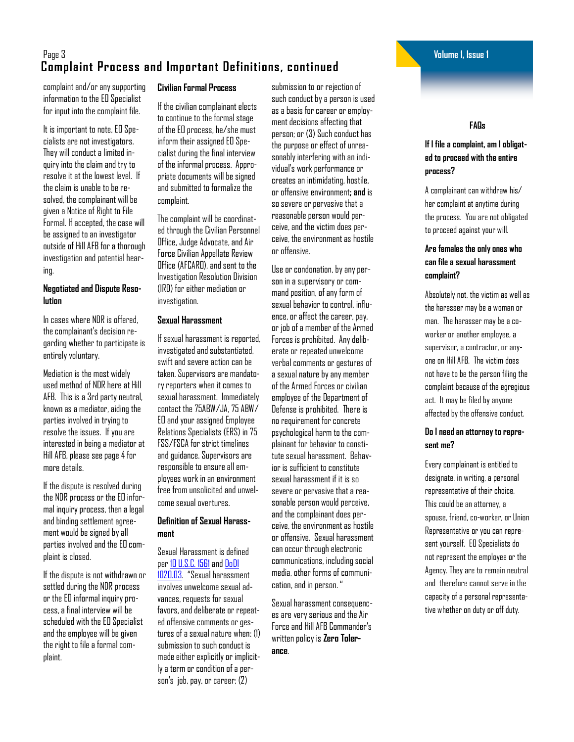# Page 3 **Volume 1, Issue 1 Complaint Process and Important Definitions, continued**

complaint and/or any supporting information to the EO Specialist for input into the complaint file.

It is important to note, EO Specialists are not investigators. They will conduct a limited inquiry into the claim and try to resolve it at the lowest level. If the claim is unable to be resolved, the complainant will be given a Notice of Right to File Formal. If accepted, the case will be assigned to an investigator outside of Hill AFB for a thorough investigation and potential hearing.

# **Negotiated and Dispute Resolution**

In cases where NDR is offered, the complainant's decision regarding whether to participate is entirely voluntary.

Mediation is the most widely used method of NDR here at Hill AFB. This is a 3rd party neutral, known as a mediator, aiding the parties involved in trying to resolve the issues. If you are interested in being a mediator at Hill AFB, please see page 4 for more details.

If the dispute is resolved during the NDR process or the EO informal inquiry process, then a legal and binding settlement agreement would be signed by all parties involved and the EO complaint is closed.

If the dispute is not withdrawn or settled during the NDR process or the EO informal inquiry process, a final interview will be scheduled with the EO Specialist and the employee will be given the right to file a formal complaint.

# **Civilian Formal Process**

If the civilian complainant elects to continue to the formal stage of the EO process, he/she must inform their assigned EO Specialist during the final interview of the informal process. Appropriate documents will be signed and submitted to formalize the complaint.

The complaint will be coordinated through the Civilian Personnel Office, Judge Advocate, and Air Force Civilian Appellate Review Office (AFCARO), and sent to the Investigation Resolution Division (IRD) for either mediation or investigation.

#### **Sexual Harassment**

If sexual harassment is reported, investigated and substantiated, swift and severe action can be taken. Supervisors are mandatory reporters when it comes to sexual harassment. Immediately contact the 75ABW/JA, 75 ABW/ EO and your assigned Employee Relations Specialists (ERS) in 75 FSS/FSCA for strict timelines and guidance. Supervisors are responsible to ensure all employees work in an environment free from unsolicited and unwelcome sexual overtures.

# **Definition of Sexual Harassment**

Sexual Harassment is defined per [10 U.S.C. 1561a](https://uscode.house.gov/view.xhtml?req=(title:10%20section:1561%20edition:prelim))nd [DoDI](https://www.esd.whs.mil/Portals/54/Documents/DD/issuances/dodi/102003p.PDF?ver=DAAzonEUeFb8kUWRbT9Epw%3D%3D)  [1020.03](https://www.esd.whs.mil/Portals/54/Documents/DD/issuances/dodi/102003p.PDF?ver=DAAzonEUeFb8kUWRbT9Epw%3D%3D). "Sexual harassment involves unwelcome sexual advances, requests for sexual favors, and deliberate or repeated offensive comments or gestures of a sexual nature when: (1) submission to such conduct is made either explicitly or implicitly a term or condition of a person's job, pay, or career; (2)

submission to or rejection of such conduct by a person is used as a basis for career or employment decisions affecting that person; or (3) Such conduct has the purpose or effect of unreasonably interfering with an individual's work performance or creates an intimidating, hostile, or offensive environment**; and** is so severe or pervasive that a reasonable person would perceive, and the victim does perceive, the environment as hostile or offensive.

Use or condonation, by any person in a supervisory or command position, of any form of sexual behavior to control, influence, or affect the career, pay, or job of a member of the Armed Forces is prohibited. Any deliberate or repeated unwelcome verbal comments or gestures of a sexual nature by any member of the Armed Forces or civilian employee of the Department of Defense is prohibited. There is no requirement for concrete psychological harm to the complainant for behavior to constitute sexual harassment. Behavior is sufficient to constitute sexual harassment if it is so severe or pervasive that a reasonable person would perceive, and the complainant does perceive, the environment as hostile or offensive. Sexual harassment can occur through electronic communications, including social media, other forms of communication, and in person. "

Sexual harassment consequences are very serious and the Air Force and Hill AFB Commander's written policy is **Zero Tolerance**.

**FAQs**

# **If I file a complaint, am I obligated to proceed with the entire process?**

A complainant can withdraw his/ her complaint at anytime during the process. You are not obligated to proceed against your will.

# **Are females the only ones who can file a sexual harassment complaint?**

Absolutely not, the victim as well as the harasser may be a woman or man. The harasser may be a coworker or another employee, a supervisor, a contractor, or anyone on Hill AFB. The victim does not have to be the person filing the complaint because of the egregious act. It may be filed by anyone affected by the offensive conduct.

# **Do I need an attorney to represent me?**

Every complainant is entitled to designate, in writing, a personal representative of their choice. This could be an attorney, a spouse, friend, co-worker, or Union Representative or you can represent yourself. EO Specialists do not represent the employee or the Agency. They are to remain neutral and therefore cannot serve in the capacity of a personal representative whether on duty or off duty.